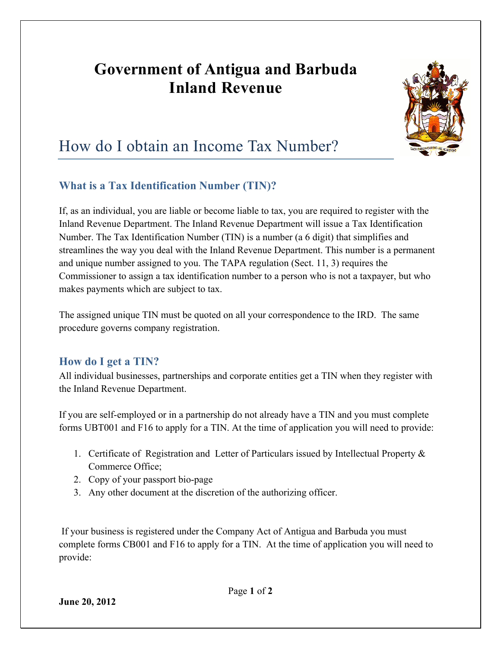## **Government of Antigua and Barbuda Inland Revenue**



# How do I obtain an Income Tax Number?

## **What is a Tax Identification Number (TIN)?**

If, as an individual, you are liable or become liable to tax, you are required to register with the Inland Revenue Department. The Inland Revenue Department will issue a Tax Identification Number. The Tax Identification Number (TIN) is a number (a 6 digit) that simplifies and streamlines the way you deal with the Inland Revenue Department. This number is a permanent and unique number assigned to you. The TAPA regulation (Sect. 11, 3) requires the Commissioner to assign a tax identification number to a person who is not a taxpayer, but who makes payments which are subject to tax.

The assigned unique TIN must be quoted on all your correspondence to the IRD. The same procedure governs company registration.

## **How do I get a TIN?**

All individual businesses, partnerships and corporate entities get a TIN when they register with the Inland Revenue Department.

If you are self-employed or in a partnership do not already have a TIN and you must complete forms UBT001 and F16 to apply for a TIN. At the time of application you will need to provide:

- 1. Certificate of Registration and Letter of Particulars issued by Intellectual Property & Commerce Office;
- 2. Copy of your passport bio-page
- 3. Any other document at the discretion of the authorizing officer.

If your business is registered under the Company Act of Antigua and Barbuda you must complete forms CB001 and F16 to apply for a TIN. At the time of application you will need to provide: